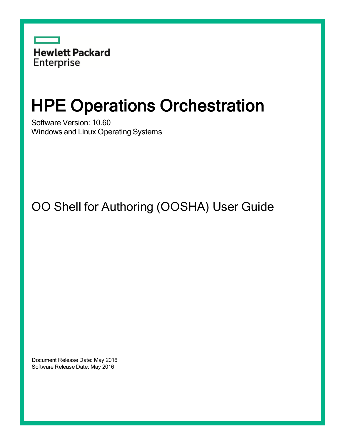

# HPE Operations Orchestration

Software Version: 10.60 Windows and Linux Operating Systems

OO Shell for Authoring (OOSHA) User Guide

Document Release Date: May 2016 Software Release Date: May 2016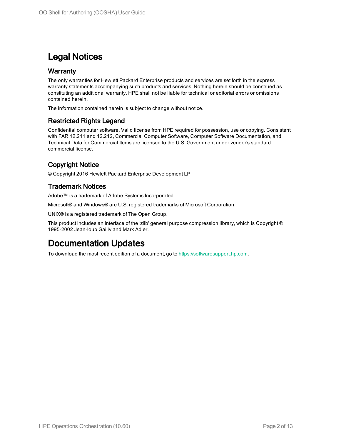### Legal Notices

#### **Warranty**

The only warranties for Hewlett Packard Enterprise products and services are set forth in the express warranty statements accompanying such products and services. Nothing herein should be construed as constituting an additional warranty. HPE shall not be liable for technical or editorial errors or omissions contained herein.

The information contained herein is subject to change without notice.

#### Restricted Rights Legend

Confidential computer software. Valid license from HPE required for possession, use or copying. Consistent with FAR 12.211 and 12.212, Commercial Computer Software, Computer Software Documentation, and Technical Data for Commercial Items are licensed to the U.S. Government under vendor's standard commercial license.

#### Copyright Notice

© Copyright 2016 Hewlett Packard Enterprise Development LP

#### Trademark Notices

Adobe™ is a trademark of Adobe Systems Incorporated.

Microsoft® and Windows® are U.S. registered trademarks of Microsoft Corporation.

UNIX® is a registered trademark of The Open Group.

This product includes an interface of the 'zlib' general purpose compression library, which is Copyright © 1995-2002 Jean-loup Gailly and Mark Adler.

### Documentation Updates

To download the most recent edition of a document, go to [https://softwaresupport.hp.com.](https://softwaresupport.hp.com/)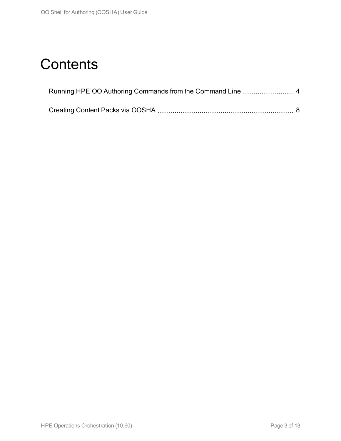## **Contents**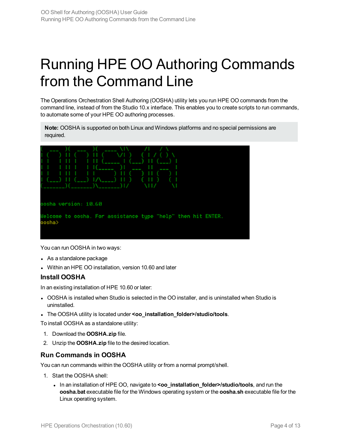# <span id="page-3-0"></span>Running HPE OO Authoring Commands from the Command Line

The Operations Orchestration Shell Authoring (OOSHA) utility lets you run HPE OO commands from the command line, instead of from the Studio 10.x interface. This enables you to create scripts to run commands, to automate some of your HPE OO authoring processes.

**Note:** OOSHA is supported on both Linux and Windows platforms and no special permissions are required.



You can run OOSHA in two ways:

- As a standalone package
- Within an HPE OO installation, version 10.60 and later

#### **Install OOSHA**

In an existing installation of HPE 10.60 or later:

- OOSHA is installed when Studio is selected in the OO installer, and is uninstalled when Studio is uninstalled.
- <sup>l</sup> The OOSHA utility is located under **<oo\_installation\_folder>/studio/tools**.

To install OOSHA as a standalone utility:

- 1. Download the **OOSHA.zip** file.
- 2. Unzip the **OOSHA.zip** file to the desired location.

#### **Run Commands in OOSHA**

You can run commands within the OOSHA utility or from a normal prompt/shell.

- 1. Start the OOSHA shell:
	- In an installation of HPE OO, navigate to **<oo** installation folder>/studio/tools, and run the **oosha.bat** executable file for the Windows operating system or the **oosha.sh** executable file for the Linux operating system.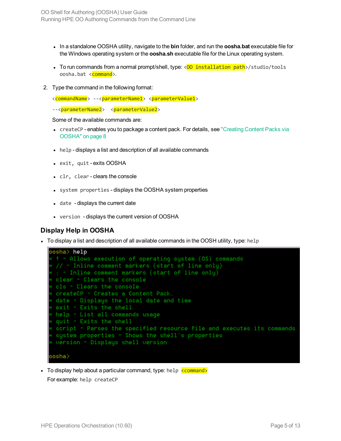- In a standalone OOSHA utility, navigate to the **bin** folder, and run the **oosha.bat** executable file for the Windows operating system or the **oosha.sh** executable file for the Linux operating system.
- To run commands from a normal prompt/shell, type:  $\langle 00 \text{ installation path} \rangle / \text{studio/tools}$ oosha.bat <command>.
- 2. Type the command in the following format:
	- <commandName> --<parameterName1> <parameterValue1>
	- --<parameterName2> <parameterValue2>

Some of the available commands are:

- createCP enables you to package a content pack. For details, see ["Creating](#page-7-0) Content Packs via [OOSHA"](#page-7-0) on page 8
- help displays a list and description of all available commands
- exit, quit exits OOSHA
- clr, clear clears the console
- system properties displays the OOSHA system properties
- $\bullet$  date displays the current date
- version displays the current version of OOSHA

#### **Display Help in OOSHA**

 $\bullet$  To display a list and description of all available commands in the OOSH utility, type: help



• To display help about a particular command, type: help  $\overline{\text{c{{o}}}}$ For example: help createCP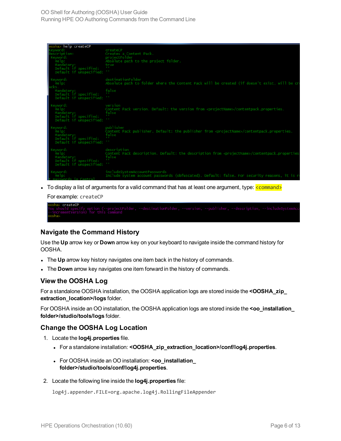| oosha> help createCP                             |                                                                                                            |
|--------------------------------------------------|------------------------------------------------------------------------------------------------------------|
| keyword:                                         | createCP                                                                                                   |
| Description:                                     | Creates a Content Pack.                                                                                    |
| Keyword:                                         | projectFolder                                                                                              |
| Help:                                            | Absolute path to the project folder.                                                                       |
| Mandatory:                                       | true                                                                                                       |
| Default if specified:                            | $\sim$                                                                                                     |
| Default if unspecified:                          | $1 - 1$                                                                                                    |
| Keyword:                                         | destinationFolder                                                                                          |
| Help:                                            | Absolute path to folder where the Content Pack will be created (if doesn't exist, will be cr               |
| Mandatory:                                       | false                                                                                                      |
| Default if specified:                            |                                                                                                            |
| Default if unspecified:                          |                                                                                                            |
|                                                  |                                                                                                            |
| Keyword:                                         | version                                                                                                    |
| Help:                                            | Content Pack version. Default: the version from <projectname>/contentpack.properties.</projectname>        |
| Mandatory:                                       | false                                                                                                      |
| Default if specified:<br>Default if unspecified: |                                                                                                            |
|                                                  |                                                                                                            |
| Keyword:                                         | publisher                                                                                                  |
| Help:                                            | Content Pack publisher. Default: the publisher from <projectname>/contentpack.properties.</projectname>    |
| Mandatory:                                       | false                                                                                                      |
| Default if specified:                            |                                                                                                            |
| Default if unspecified:                          |                                                                                                            |
| Keyword:                                         | description                                                                                                |
| Help:                                            | Content Pack description. Default: the description from <projectname>/contentpack.properties</projectname> |
| Mandatory:                                       | false                                                                                                      |
| Default if specified:                            |                                                                                                            |
| Default if unspecified:                          |                                                                                                            |
| Keyword:                                         | includeSystemAccountPasswords                                                                              |
| Help:                                            | Include system account passwords (obfuscated). Default: false. For security reasons, it is r               |
| sswords in Central                               |                                                                                                            |

If To display a list of arguments for a valid command that has at least one argument, type:  $\frac{1}{2}$ command> For example: createCP

```
createst CP
```
#### **Navigate the Command History**

Use the **Up** arrow key or **Down** arrow key on your keyboard to navigate inside the command history for OOSHA.

- The Up arrow key history navigates one item back in the history of commands.
- **.** The **Down** arrow key navigates one item forward in the history of commands.

#### **View the OOSHA Log**

For a standalone OOSHA installation, the OOSHA application logs are stored inside the **<OOSHA\_zip\_ extraction\_location>/logs** folder.

For OOSHA inside an OO installation, the OOSHA application logs are stored inside the **<oo\_installation\_ folder>/studio/tools/logs** folder.

#### **Change the OOSHA Log Location**

- 1. Locate the **log4j.properties** file.
	- <sup>l</sup> For a standalone installation: **<OOSHA\_zip\_extraction\_location>/conf/log4j.properties**.
	- <sup>l</sup> For OOSHA inside an OO installation: **<oo\_installation\_ folder>/studio/tools/conf/log4j.properties**.
- 2. Locate the following line inside the **log4j.properties** file:

log4j.appender.FILE=org.apache.log4j.RollingFileAppender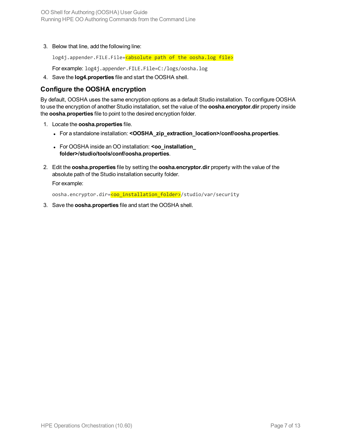3. Below that line, add the following line:

log4j.appender.FILE.File=<absolute path of the oosha.log file>

For example: log4j.appender.FILE.File=C:/logs/oosha.log

4. Save the **log4.properties** file and start the OOSHA shell.

#### **Configure the OOSHA encryption**

By default, OOSHA uses the same encryption options as a default Studio installation. To configure OOSHA to use the encryption of another Studio installation, set the value of the **oosha.encryptor.dir** property inside the **oosha.properties** file to point to the desired encryption folder.

- 1. Locate the **oosha.properties** file.
	- <sup>l</sup> For a standalone installation: **<OOSHA\_zip\_extraction\_location>/conf/oosha.properties**.
	- <sup>l</sup> For OOSHA inside an OO installation: **<oo\_installation\_ folder>/studio/tools/conf/oosha.properties**.
- 2. Edit the **oosha.properties** file by setting the **oosha.encryptor.dir** property with the value of the absolute path of the Studio installation security folder.

For example:

oosha.encryptor.dir=<oo\_installation\_folder>/studio/var/security

3. Save the **oosha.properties** file and start the OOSHA shell.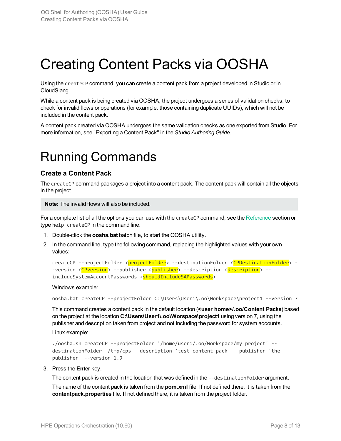## <span id="page-7-0"></span>Creating Content Packs via OOSHA

Using the createCP command, you can create a content pack from a project developed in Studio or in CloudSlang.

While a content pack is being created via OOSHA, the project undergoes a series of validation checks, to check for invalid flows or operations (for example, those containing duplicate UUIDs), which will not be included in the content pack.

A content pack created via OOSHA undergoes the same validation checks as one exported from Studio. For more information, see "Exporting a Content Pack" in the *Studio Authoring Guide*.

### Running Commands

#### **Create a Content Pack**

The createCP command packages a project into a content pack. The content pack will contain all the objects in the project.

**Note:** The invalid flows will also be included.

For a complete list of all the options you can use with the createCP command, see the [Reference](#page-9-0) section or type help createCP in the command line.

- 1. Double-click the **oosha.bat** batch file, to start the OOSHA utility.
- 2. In the command line, type the following command, replacing the highlighted values with your own values:

```
createCP --projectFolder <projectFolder> --destinationFolder <CPDestinationFolder> -
-version <CPversion> --publisher <publisher> --description <description> --
includeSystemAccountPasswords <shouldIncludeSAPasswords>
```
#### Windows example:

```
oosha.bat createCP --projectFolder C:\Users\User1\.oo\Workspace\project1 --version 7
```
This command creates a content pack in the default location (**<user home>/.oo/Content Packs**) based on the project at the location **C:\Users\User1\.oo\Worspace\project1** using version 7, using the publisher and description taken from project and not including the password for system accounts.

Linux example:

```
./oosha.sh createCP --projectFolder '/home/user1/.oo/Workspace/my project' --
destinationFolder /tmp/cps --description 'test content pack' --publisher 'the
publisher' --version 1.9
```
3. Press the **Enter** key.

The content pack is created in the location that was defined in the --destinationFolder argument.

The name of the content pack is taken from the **pom.xml** file. If not defined there, it is taken from the **contentpack.properties** file. If not defined there, it is taken from the project folder.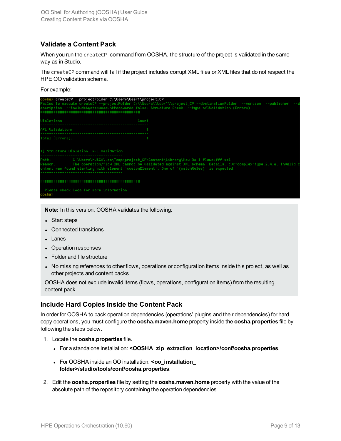#### **Validate a Content Pack**

When you run the createCP command from OOSHA, the structure of the project is validated in the same way as in Studio.

The createCP command will fail if the project includes corrupt XML files or XML files that do not respect the HPE OO validation schema.

For example:

|                 | oosha> createCP --projectFolder C:\Users\User1\project_CP |                                                                                                                                                                                                                                                                                            |
|-----------------|-----------------------------------------------------------|--------------------------------------------------------------------------------------------------------------------------------------------------------------------------------------------------------------------------------------------------------------------------------------------|
|                 |                                                           | Failed to execute createCP --projectFolder C:\\Users\\User1\\project_CP --destinationFolder --version --publisher --c<br>escription --includeSystemAccountPasswords false: Structure Check: --type aflUalidation (Errors)                                                                  |
|                 |                                                           |                                                                                                                                                                                                                                                                                            |
| Uiolations      | Count                                                     |                                                                                                                                                                                                                                                                                            |
| AFL Validation: |                                                           |                                                                                                                                                                                                                                                                                            |
| Total (Errors): |                                                           |                                                                                                                                                                                                                                                                                            |
|                 |                                                           |                                                                                                                                                                                                                                                                                            |
|                 | 1) Structure Uiolation: AFL Ualidation                    |                                                                                                                                                                                                                                                                                            |
| Reason:         |                                                           | Path: C:\Users\MUSCA\.oo\Temp\project_CP\Content\Library\How Do I flows\fff.xml<br>The operation/flow XML cannot be validated against XML schema. Details: cuc-complex-tupe.2.4.a: Invalid c<br>ontent was found starting with element 'customElement'. One of '(matchRules)' is expected. |
|                 |                                                           |                                                                                                                                                                                                                                                                                            |
| oosha>          | Please check logs for more information.                   |                                                                                                                                                                                                                                                                                            |

**Note:** In this version, OOSHA validates the following:

- Start steps
- Connected transitions
- Lanes
- Operation responses
- Folder and file structure
- No missing references to other flows, operations or configuration items inside this project, as well as other projects and content packs

OOSHA does not exclude invalid items (flows, operations, configuration items) from the resulting content pack.

#### **Include Hard Copies Inside the Content Pack**

In order for OOSHA to pack operation dependencies (operations' plugins and their dependencies) for hard copy operations, you must configure the **oosha.maven.home** property inside the **oosha.properties** file by following the steps below.

- 1. Locate the **oosha.properties** file.
	- <sup>l</sup> For a standalone installation: **<OOSHA\_zip\_extraction\_location>/conf/oosha.properties**.
	- **.** For OOSHA inside an OO installation: **<oo** installation **folder>/studio/tools/conf/oosha.properties**.
- 2. Edit the **oosha.properties** file by setting the **oosha.maven.home** property with the value of the absolute path of the repository containing the operation dependencies.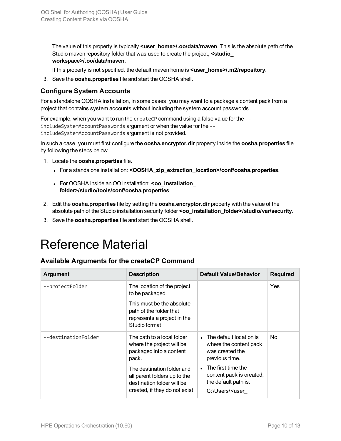The value of this property is typically **<user\_home>/.oo/data/maven**. This is the absolute path of the Studio maven repository folder that was used to create the project, **<studio\_ workspace>/.oo/data/maven**.

If this property is not specified, the default maven home is **<user\_home>/.m2/repository**.

3. Save the **oosha.properties** file and start the OOSHA shell.

#### **Configure System Accounts**

For a standalone OOSHA installation, in some cases, you may want to a package a content pack from a project that contains system accounts without including the system account passwords.

For example, when you want to run the createCP command using a false value for the - includeSystemAccountPasswords argument or when the value for the - includeSystemAccountPasswords argument is not provided.

In such a case, you must first configure the **oosha.encryptor.dir** property inside the **oosha.properties** file by following the steps below.

- 1. Locate the **oosha.properties** file.
	- <sup>l</sup> For a standalone installation: **<OOSHA\_zip\_extraction\_location>/conf/oosha.properties**.
	- <sup>l</sup> For OOSHA inside an OO installation: **<oo\_installation\_ folder>/studio/tools/conf/oosha.properties**.
- 2. Edit the **oosha.properties** file by setting the **oosha.encryptor.dir** property with the value of the absolute path of the Studio installation security folder **<oo\_installation\_folder>/studio/var/security**.
- <span id="page-9-0"></span>3. Save the **oosha.properties** file and start the OOSHA shell.

### Reference Material

#### **Available Arguments for the createCP Command**

| <b>Argument</b>     | <b>Description</b>                                                                                                                                                                                                       | <b>Default Value/Behavior</b>                                                                                                                                                                                               | <b>Required</b> |
|---------------------|--------------------------------------------------------------------------------------------------------------------------------------------------------------------------------------------------------------------------|-----------------------------------------------------------------------------------------------------------------------------------------------------------------------------------------------------------------------------|-----------------|
| --projectFolder     | The location of the project<br>to be packaged.                                                                                                                                                                           |                                                                                                                                                                                                                             | Yes             |
|                     | This must be the absolute<br>path of the folder that<br>represents a project in the<br>Studio format.                                                                                                                    |                                                                                                                                                                                                                             |                 |
| --destinationFolder | The path to a local folder<br>where the project will be<br>packaged into a content<br>pack.<br>The destination folder and<br>all parent folders up to the<br>destination folder will be<br>created, if they do not exist | • The default location is<br>where the content pack<br>was created the<br>previous time.<br>$\bullet$ The first time the<br>content pack is created,<br>the default path is:<br>C:\Users\ <user< td=""><td>No.</td></user<> | No.             |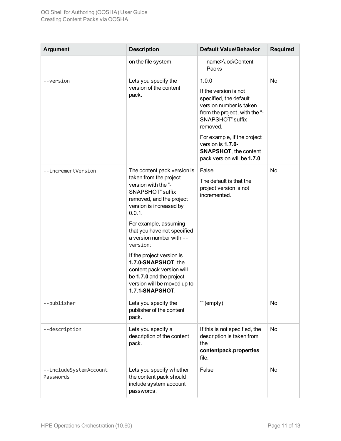| <b>Argument</b>                     | <b>Description</b>                                                                                                                                                                                                                                                                                                                                                                                                               | <b>Default Value/Behavior</b>                                                                                                                                                                                                                                                  | <b>Required</b> |
|-------------------------------------|----------------------------------------------------------------------------------------------------------------------------------------------------------------------------------------------------------------------------------------------------------------------------------------------------------------------------------------------------------------------------------------------------------------------------------|--------------------------------------------------------------------------------------------------------------------------------------------------------------------------------------------------------------------------------------------------------------------------------|-----------------|
|                                     | on the file system.                                                                                                                                                                                                                                                                                                                                                                                                              | name>\.oo\Content<br>Packs                                                                                                                                                                                                                                                     |                 |
| --version                           | Lets you specify the<br>version of the content<br>pack.                                                                                                                                                                                                                                                                                                                                                                          | 1.0.0<br>If the version is not<br>specified, the default<br>version number is taken<br>from the project, with the "-<br><b>SNAPSHOT"</b> suffix<br>removed.<br>For example, if the project<br>version is 1.7.0-<br><b>SNAPSHOT, the content</b><br>pack version will be 1.7.0. | No              |
| --incrementVersion                  | The content pack version is<br>taken from the project<br>version with the "-<br>SNAPSHOT" suffix<br>removed, and the project<br>version is increased by<br>0.0.1.<br>For example, assuming<br>that you have not specified<br>a version number with --<br>version:<br>If the project version is<br>1.7.0-SNAPSHOT, the<br>content pack version will<br>be 1.7.0 and the project<br>version will be moved up to<br>1.7.1-SNAPSHOT. | False<br>The default is that the<br>project version is not<br>incremented.                                                                                                                                                                                                     | No              |
| --publisher                         | Lets you specify the<br>publisher of the content<br>pack.                                                                                                                                                                                                                                                                                                                                                                        | "" (empty)                                                                                                                                                                                                                                                                     | No              |
| --description                       | Lets you specify a<br>description of the content<br>pack.                                                                                                                                                                                                                                                                                                                                                                        | If this is not specified, the<br>description is taken from<br>the<br>contentpack.properties<br>file.                                                                                                                                                                           | No              |
| --includeSystemAccount<br>Passwords | Lets you specify whether<br>the content pack should<br>include system account<br>passwords.                                                                                                                                                                                                                                                                                                                                      | False                                                                                                                                                                                                                                                                          | No              |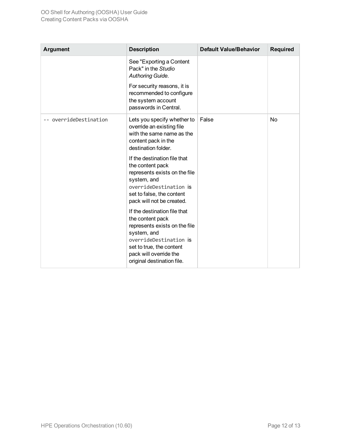| <b>Argument</b>        | <b>Description</b>                                                                                                                                                                                             | <b>Default Value/Behavior</b> | <b>Required</b> |
|------------------------|----------------------------------------------------------------------------------------------------------------------------------------------------------------------------------------------------------------|-------------------------------|-----------------|
|                        | See "Exporting a Content<br>Pack" in the Studio<br>Authoring Guide.                                                                                                                                            |                               |                 |
|                        | For security reasons, it is<br>recommended to configure<br>the system account<br>passwords in Central.                                                                                                         |                               |                 |
| -- overrideDestination | Lets you specify whether to<br>override an existing file<br>with the same name as the<br>content pack in the<br>destination folder.                                                                            | False                         | <b>No</b>       |
|                        | If the destination file that<br>the content pack<br>represents exists on the file<br>system, and<br>overrideDestination is<br>set to false, the content<br>pack will not be created.                           |                               |                 |
|                        | If the destination file that<br>the content pack<br>represents exists on the file<br>system, and<br>overrideDestination is<br>set to true, the content<br>pack will override the<br>original destination file. |                               |                 |